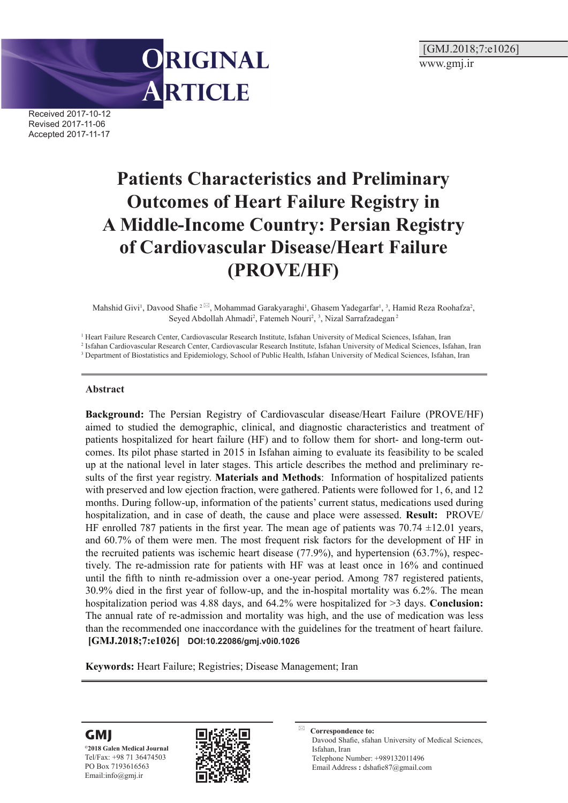[GMJ.2018;7:e1026] www.gmj.ir



Received 2017-10-12 Revised 2017-11-06 Accepted 2017-11-17

# **Patients Characteristics and Preliminary Outcomes of Heart Failure Registry in A Middle-Income Country: Persian Registry of Cardiovascular Disease/Heart Failure (PROVE/HF)**

Mahshid Givi<sup>1</sup>, Davood Shafie <sup>2</sub><sup>[2]</sup>, Mohammad Garakyaraghi<sup>1</sup>, Ghasem Yadegarfar<sup>1</sup>, <sup>3</sup>, Hamid Reza Roohafza<sup>2</sup>,</sup> Seyed Abdollah Ahmadi<sup>2</sup>, Fatemeh Nouri<sup>2</sup>, <sup>3</sup>, Nizal Sarrafzadegan<sup>2</sup>

<sup>1</sup> Heart Failure Research Center, Cardiovascular Research Institute, Isfahan University of Medical Sciences, Isfahan, Iran

2 Isfahan Cardiovascular Research Center, Cardiovascular Research Institute, Isfahan University of Medical Sciences, Isfahan, Iran

<sup>3</sup> Department of Biostatistics and Epidemiology, School of Public Health, Isfahan University of Medical Sciences, Isfahan, Iran

#### **Abstract**

**Background:** The Persian Registry of Cardiovascular disease/Heart Failure (PROVE/HF) aimed to studied the demographic, clinical, and diagnostic characteristics and treatment of patients hospitalized for heart failure (HF) and to follow them for short- and long-term outcomes. Its pilot phase started in 2015 in Isfahan aiming to evaluate its feasibility to be scaled up at the national level in later stages. This article describes the method and preliminary results of the first year registry. **Materials and Methods**: Information of hospitalized patients with preserved and low ejection fraction, were gathered. Patients were followed for 1, 6, and 12 months. During follow-up, information of the patients' current status, medications used during hospitalization, and in case of death, the cause and place were assessed. **Result:** PROVE/ HF enrolled 787 patients in the first year. The mean age of patients was  $70.74 \pm 12.01$  years, and 60.7% of them were men. The most frequent risk factors for the development of HF in the recruited patients was ischemic heart disease (77.9%), and hypertension (63.7%), respectively. The re-admission rate for patients with HF was at least once in 16% and continued until the fifth to ninth re-admission over a one-year period. Among 787 registered patients, 30.9% died in the first year of follow-up, and the in-hospital mortality was 6.2%. The mean hospitalization period was 4.88 days, and 64.2% were hospitalized for >3 days. **Conclusion:** The annual rate of re-admission and mortality was high, and the use of medication was less than the recommended one inaccordance with the guidelines for the treatment of heart failure. **[GMJ.2018;7:e1026] DOI:10.22086/gmj.v0i0.1026**

**Keywords:** Heart Failure; Registries; Disease Management; Iran





**Correspondence to:** Davood Shafie, sfahan University of Medical Sciences, Isfahan, Iran Telephone Number: +989132011496 Email Address **:** dshafie87@gmail.com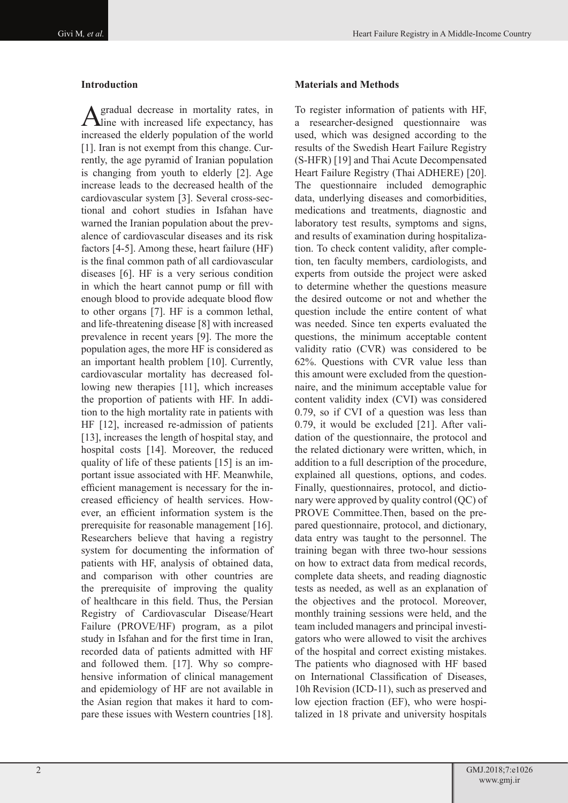#### **Introduction**

A gradual decrease in mortality rates, in line with increased life expectancy, has increased the elderly population of the world [1]. Iran is not exempt from this change. Currently, the age pyramid of Iranian population is changing from youth to elderly [2]. Age increase leads to the decreased health of the cardiovascular system [3]. Several cross-sectional and cohort studies in Isfahan have warned the Iranian population about the prevalence of cardiovascular diseases and its risk factors [4-5]. Among these, heart failure (HF) is the final common path of all cardiovascular diseases [6]. HF is a very serious condition in which the heart cannot pump or fill with enough blood to provide adequate blood flow to other organs [7]. HF is a common lethal, and life-threatening disease [8] with increased prevalence in recent years [9]. The more the population ages, the more HF is considered as an important health problem [10]. Currently, cardiovascular mortality has decreased following new therapies [11], which increases the proportion of patients with HF. In addition to the high mortality rate in patients with HF [12], increased re-admission of patients [13], increases the length of hospital stay, and hospital costs [14]. Moreover, the reduced quality of life of these patients [15] is an important issue associated with HF. Meanwhile, efficient management is necessary for the increased efficiency of health services. However, an efficient information system is the prerequisite for reasonable management [16]. Researchers believe that having a registry system for documenting the information of patients with HF, analysis of obtained data, and comparison with other countries are the prerequisite of improving the quality of healthcare in this field. Thus, the Persian Registry of Cardiovascular Disease/Heart Failure (PROVE/HF) program, as a pilot study in Isfahan and for the first time in Iran, recorded data of patients admitted with HF and followed them. [17]. Why so comprehensive information of clinical management and epidemiology of HF are not available in the Asian region that makes it hard to compare these issues with Western countries [18].

### **Materials and Methods**

To register information of patients with HF, a researcher-designed questionnaire was used, which was designed according to the results of the Swedish Heart Failure Registry (S-HFR) [19] and Thai Acute Decompensated Heart Failure Registry (Thai ADHERE) [20]. The questionnaire included demographic data, underlying diseases and comorbidities, medications and treatments, diagnostic and laboratory test results, symptoms and signs, and results of examination during hospitalization. To check content validity, after completion, ten faculty members, cardiologists, and experts from outside the project were asked to determine whether the questions measure the desired outcome or not and whether the question include the entire content of what was needed. Since ten experts evaluated the questions, the minimum acceptable content validity ratio (CVR) was considered to be 62%. Questions with CVR value less than this amount were excluded from the questionnaire, and the minimum acceptable value for content validity index (CVI) was considered 0.79, so if CVI of a question was less than 0.79, it would be excluded [21]. After validation of the questionnaire, the protocol and the related dictionary were written, which, in addition to a full description of the procedure, explained all questions, options, and codes. Finally, questionnaires, protocol, and dictionary were approved by quality control (QC) of PROVE Committee.Then, based on the prepared questionnaire, protocol, and dictionary, data entry was taught to the personnel. The training began with three two-hour sessions on how to extract data from medical records, complete data sheets, and reading diagnostic tests as needed, as well as an explanation of the objectives and the protocol. Moreover, monthly training sessions were held, and the team included managers and principal investigators who were allowed to visit the archives of the hospital and correct existing mistakes. The patients who diagnosed with HF based on International Classification of Diseases, 10h Revision (ICD-11), such as preserved and low ejection fraction (EF), who were hospitalized in 18 private and university hospitals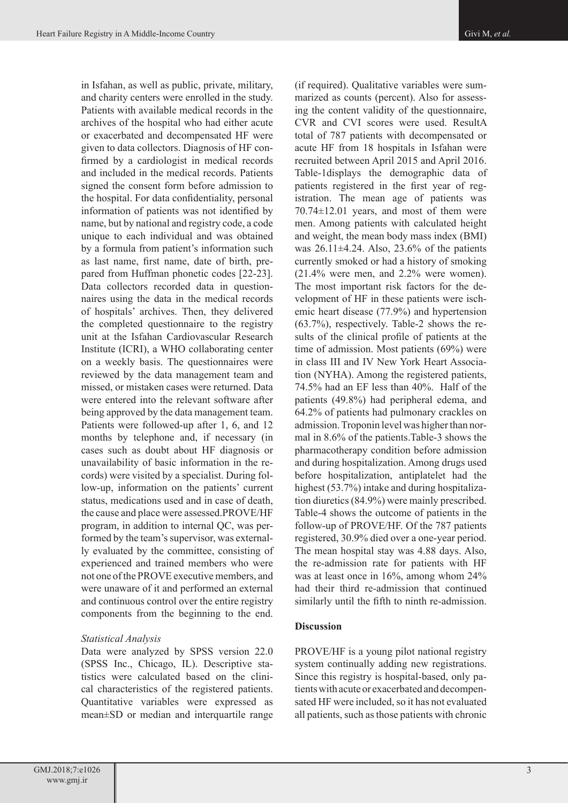in Isfahan, as well as public, private, military, and charity centers were enrolled in the study. Patients with available medical records in the archives of the hospital who had either acute or exacerbated and decompensated HF were given to data collectors. Diagnosis of HF confirmed by a cardiologist in medical records and included in the medical records. Patients signed the consent form before admission to the hospital. For data confidentiality, personal information of patients was not identified by name, but by national and registry code, a code unique to each individual and was obtained by a formula from patient's information such as last name, first name, date of birth, prepared from Huffman phonetic codes [22-23]. Data collectors recorded data in questionnaires using the data in the medical records of hospitals' archives. Then, they delivered the completed questionnaire to the registry unit at the Isfahan Cardiovascular Research Institute (ICRI), a WHO collaborating center on a weekly basis. The questionnaires were reviewed by the data management team and missed, or mistaken cases were returned. Data were entered into the relevant software after being approved by the data management team. Patients were followed-up after 1, 6, and 12 months by telephone and, if necessary (in cases such as doubt about HF diagnosis or unavailability of basic information in the records) were visited by a specialist. During follow-up, information on the patients' current status, medications used and in case of death, the cause and place were assessed.PROVE/HF program, in addition to internal QC, was performed by the team's supervisor, was externally evaluated by the committee, consisting of experienced and trained members who were not one of the PROVE executive members, and were unaware of it and performed an external and continuous control over the entire registry components from the beginning to the end.

# *Statistical Analysis*

Data were analyzed by SPSS version 22.0 (SPSS Inc., Chicago, IL). Descriptive statistics were calculated based on the clinical characteristics of the registered patients. Quantitative variables were expressed as mean±SD or median and interquartile range

(if required). Qualitative variables were summarized as counts (percent). Also for assessing the content validity of the questionnaire, CVR and CVI scores were used. ResultA total of 787 patients with decompensated or acute HF from 18 hospitals in Isfahan were recruited between April 2015 and April 2016. Table-1displays the demographic data of patients registered in the first year of registration. The mean age of patients was 70.74±12.01 years, and most of them were men. Among patients with calculated height and weight, the mean body mass index (BMI) was  $26.11\pm4.24$ . Also,  $23.6\%$  of the patients currently smoked or had a history of smoking (21.4% were men, and 2.2% were women). The most important risk factors for the development of HF in these patients were ischemic heart disease (77.9%) and hypertension (63.7%), respectively. Table-2 shows the results of the clinical profile of patients at the time of admission. Most patients (69%) were in class III and IV New York Heart Association (NYHA). Among the registered patients, 74.5% had an EF less than 40%. Half of the patients (49.8%) had peripheral edema, and 64.2% of patients had pulmonary crackles on admission. Troponin level was higher than normal in 8.6% of the patients.Table-3 shows the pharmacotherapy condition before admission and during hospitalization. Among drugs used before hospitalization, antiplatelet had the highest (53.7%) intake and during hospitalization diuretics (84.9%) were mainly prescribed. Table-4 shows the outcome of patients in the follow-up of PROVE/HF. Of the 787 patients registered, 30.9% died over a one-year period. The mean hospital stay was 4.88 days. Also, the re-admission rate for patients with HF was at least once in 16%, among whom 24% had their third re-admission that continued similarly until the fifth to ninth re-admission.

### **Discussion**

PROVE/HF is a young pilot national registry system continually adding new registrations. Since this registry is hospital-based, only patients with acute or exacerbated and decompensated HF were included, so it has not evaluated all patients, such as those patients with chronic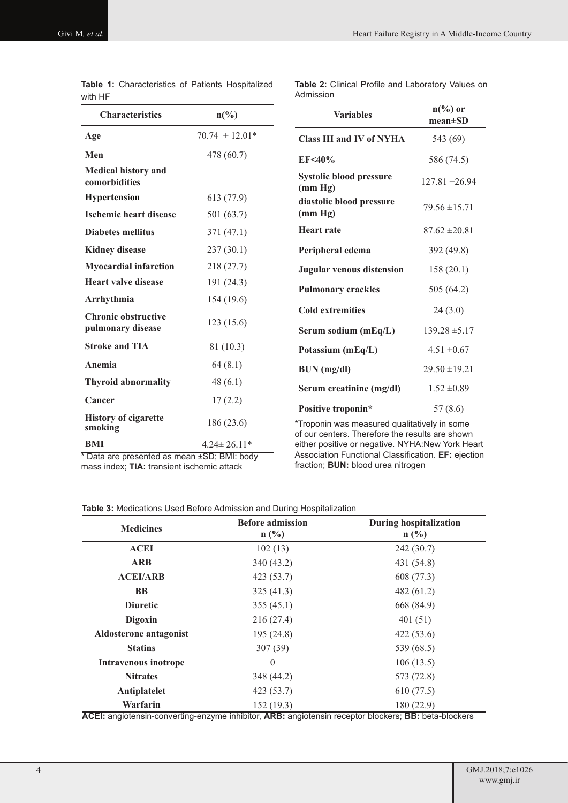| with HF                                         |                    |                                                                                                 |                                     |  |  |
|-------------------------------------------------|--------------------|-------------------------------------------------------------------------------------------------|-------------------------------------|--|--|
| <b>Characteristics</b>                          | $n\binom{0}{0}$    | <b>Variables</b>                                                                                | $n\binom{0}{0}$ or<br>$mean \pm SD$ |  |  |
| Age                                             | $70.74 \pm 12.01*$ | <b>Class III and IV of NYHA</b>                                                                 | 543 (69)                            |  |  |
| Men                                             | 478 (60.7)         | EF<40%                                                                                          | 586 (74.5)                          |  |  |
| <b>Medical history and</b><br>comorbidities     |                    | <b>Systolic blood pressure</b><br>(mm Hg)                                                       | $127.81 \pm 26.94$                  |  |  |
| <b>Hypertension</b>                             | 613(77.9)          | diastolic blood pressure                                                                        |                                     |  |  |
| <b>Ischemic heart disease</b>                   | 501 (63.7)         | (mm Hg)                                                                                         | $79.56 \pm 15.71$                   |  |  |
| <b>Diabetes mellitus</b>                        | 371 (47.1)         | <b>Heart rate</b>                                                                               | $87.62 \pm 20.81$                   |  |  |
| <b>Kidney disease</b>                           | 237(30.1)          | Peripheral edema                                                                                | 392 (49.8)                          |  |  |
| <b>Myocardial infarction</b>                    | 218(27.7)          | <b>Jugular venous distension</b>                                                                | 158(20.1)                           |  |  |
| <b>Heart valve disease</b>                      | 191(24.3)          | <b>Pulmonary crackles</b>                                                                       | 505 (64.2)                          |  |  |
| Arrhythmia                                      | 154(19.6)          |                                                                                                 |                                     |  |  |
| <b>Chronic obstructive</b><br>pulmonary disease | 123(15.6)          | <b>Cold extremities</b><br>Serum sodium (mEq/L)                                                 | 24(3.0)<br>$139.28 \pm 5.17$        |  |  |
| <b>Stroke and TIA</b>                           | 81 (10.3)          | Potassium (mEq/L)                                                                               | $4.51 \pm 0.67$                     |  |  |
| Anemia                                          | 64(8.1)            | $BUN$ (mg/dl)                                                                                   | $29.50 \pm 19.21$                   |  |  |
| <b>Thyroid abnormality</b>                      | 48(6.1)            | Serum creatinine (mg/dl)                                                                        | $1.52 \pm 0.89$                     |  |  |
| Cancer                                          | 17(2.2)            | Positive troponin*                                                                              | 57(8.6)                             |  |  |
| <b>History of cigarette</b><br>smoking          | 186(23.6)          | *Troponin was measured qualitatively in some<br>of our centers. Therefore the results are shown |                                     |  |  |
| BMI                                             | $4.24 \pm 26.11*$  | either positive or negative. NYHA:New York Heart                                                |                                     |  |  |

|         | <b>Table 1:</b> Characteristics of Patients Hospitalized |  |  |
|---------|----------------------------------------------------------|--|--|
| with HF |                                                          |  |  |

**Table 2:** Clinical Profile and Laboratory Values on Admission  $\overline{a}$ 

\* Data are presented as mean ±SD; BMI: body mass index; **TIA:** transient ischemic attack

either positive or negative. NYHA:New York Heart Association Functional Classification. **EF:** ejection fraction; **BUN:** blood urea nitrogen

| <b>Table 3:</b> Medications Used Before Admission and During Hospitalization |  |  |  |  |
|------------------------------------------------------------------------------|--|--|--|--|
|------------------------------------------------------------------------------|--|--|--|--|

| <b>Medicines</b>                                                                                               | <b>Before admission</b><br>$n(^{0}/_{0})$ | <b>During hospitalization</b><br>$n$ (%) |  |
|----------------------------------------------------------------------------------------------------------------|-------------------------------------------|------------------------------------------|--|
| <b>ACEI</b>                                                                                                    | 102(13)                                   | 242(30.7)                                |  |
| <b>ARB</b>                                                                                                     | 340 (43.2)                                | 431 (54.8)                               |  |
| <b>ACEI/ARB</b>                                                                                                | 423 (53.7)                                | 608 (77.3)                               |  |
| <b>BB</b>                                                                                                      | 325(41.3)                                 | 482(61.2)                                |  |
| <b>Diuretic</b>                                                                                                | 355(45.1)                                 | 668 (84.9)                               |  |
| Digoxin                                                                                                        | 216(27.4)                                 | 401(51)                                  |  |
| <b>Aldosterone</b> antagonist                                                                                  | 195(24.8)                                 | 422(53.6)                                |  |
| <b>Statins</b>                                                                                                 | 307(39)                                   | 539 (68.5)                               |  |
| <b>Intravenous inotrope</b>                                                                                    | $\theta$                                  | 106(13.5)                                |  |
| <b>Nitrates</b>                                                                                                | 348 (44.2)                                | 573 (72.8)                               |  |
| Antiplatelet                                                                                                   | 423 (53.7)                                | 610(77.5)                                |  |
| Warfarin<br>ACEL application convention common inhibitor. ADD, oppidencia receptor blockers, DD, bota blockers | 152(19.3)                                 | 180 (22.9)                               |  |

**ACEI:** angiotensin-converting-enzyme inhibitor, **ARB:** angiotensin receptor blockers; **BB:** beta-blockers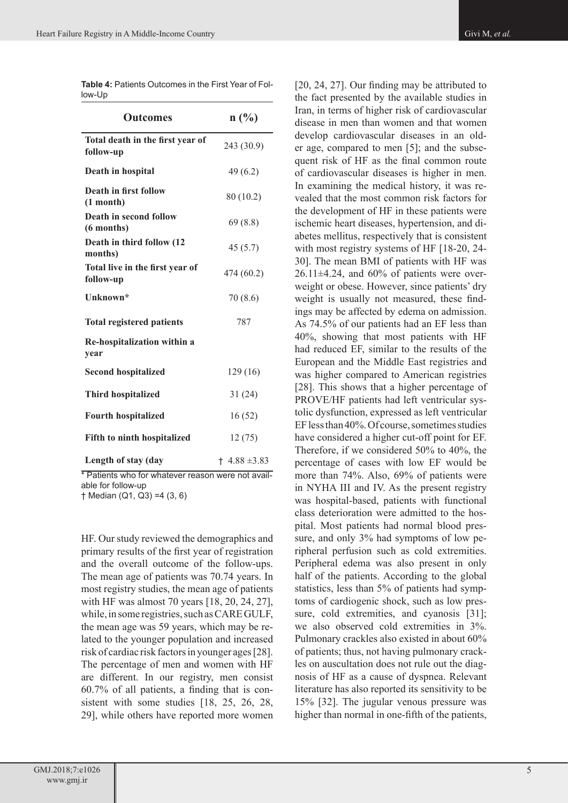| <b>Outcomes</b>                               | n(%)             |
|-----------------------------------------------|------------------|
| Total death in the first year of<br>follow-up | 243 (30.9)       |
| Death in hospital                             | 49(6.2)          |
| Death in first follow<br>$(1$ month)          | 80 (10.2)        |
| Death in second follow<br>(6 months)          | 69(8.8)          |
| Death in third follow (12<br>months)          | 45(5.7)          |
| Total live in the first year of<br>follow-up  | 474 (60.2)       |
| Unknown*                                      | 70(8.6)          |
| <b>Total registered patients</b>              | 787              |
| Re-hospitalization within a<br>year           |                  |
| <b>Second hospitalized</b>                    | 129 (16)         |
| <b>Third hospitalized</b>                     | 31(24)           |
| <b>Fourth hospitalized</b>                    | 16(52)           |
| Fifth to ninth hospitalized                   | 12(75)           |
| Length of stay (day                           | $+4.88 \pm 3.83$ |

**Table 4:** Patients Outcomes in the First Year of Follow-Up

\* Patients who for whatever reason were not available for follow-up

† Median (Q1, Q3) =4 (3, 6)

HF. Our study reviewed the demographics and primary results of the first year of registration and the overall outcome of the follow-ups. The mean age of patients was 70.74 years. In most registry studies, the mean age of patients with HF was almost 70 years [18, 20, 24, 27], while, in some registries, such as CARE GULF, the mean age was 59 years, which may be related to the younger population and increased risk of cardiac risk factors in younger ages [28]. The percentage of men and women with HF are different. In our registry, men consist 60.7% of all patients, a finding that is consistent with some studies [18, 25, 26, 28, 29], while others have reported more women

[20, 24, 27]. Our finding may be attributed to the fact presented by the available studies in Iran, in terms of higher risk of cardiovascular disease in men than women and that women develop cardiovascular diseases in an older age, compared to men [5]; and the subsequent risk of HF as the final common route of cardiovascular diseases is higher in men. In examining the medical history, it was revealed that the most common risk factors for the development of HF in these patients were ischemic heart diseases, hypertension, and diabetes mellitus, respectively that is consistent with most registry systems of HF [18-20, 24-30]. The mean BMI of patients with HF was  $26.11\pm4.24$ , and  $60\%$  of patients were overweight or obese. However, since patients' dry weight is usually not measured, these findings may be affected by edema on admission. As 74.5% of our patients had an EF less than 40%, showing that most patients with HF had reduced EF, similar to the results of the European and the Middle East registries and was higher compared to American registries [28]. This shows that a higher percentage of PROVE/HF patients had left ventricular systolic dysfunction, expressed as left ventricular EF less than 40%. Of course, sometimes studies have considered a higher cut-off point for EF. Therefore, if we considered 50% to 40%, the percentage of cases with low EF would be more than 74%. Also, 69% of patients were in NYHA III and IV. As the present registry was hospital-based, patients with functional class deterioration were admitted to the hospital. Most patients had normal blood pressure, and only 3% had symptoms of low peripheral perfusion such as cold extremities. Peripheral edema was also present in only half of the patients. According to the global statistics, less than 5% of patients had symptoms of cardiogenic shock, such as low pressure, cold extremities, and cyanosis [31]; we also observed cold extremities in 3%. Pulmonary crackles also existed in about 60% of patients; thus, not having pulmonary crackles on auscultation does not rule out the diagnosis of HF as a cause of dyspnea. Relevant literature has also reported its sensitivity to be 15% [32]. The jugular venous pressure was higher than normal in one-fifth of the patients,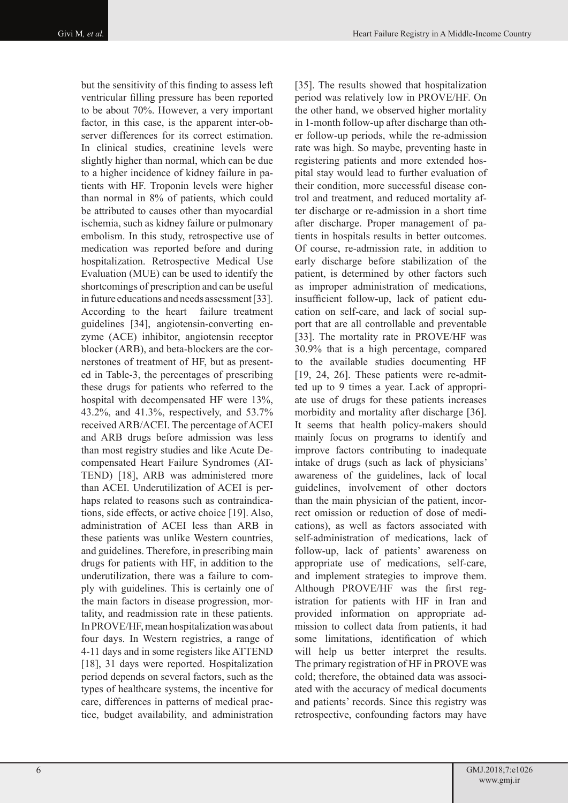but the sensitivity of this finding to assess left ventricular filling pressure has been reported to be about 70%. However, a very important factor, in this case, is the apparent inter-observer differences for its correct estimation. In clinical studies, creatinine levels were slightly higher than normal, which can be due to a higher incidence of kidney failure in patients with HF. Troponin levels were higher than normal in 8% of patients, which could be attributed to causes other than myocardial ischemia, such as kidney failure or pulmonary embolism. In this study, retrospective use of medication was reported before and during hospitalization. Retrospective Medical Use Evaluation (MUE) can be used to identify the shortcomings of prescription and can be useful in future educations and needs assessment [33]. According to the heart failure treatment guidelines [34], angiotensin-converting enzyme (ACE) inhibitor, angiotensin receptor blocker (ARB), and beta-blockers are the cornerstones of treatment of HF, but as presented in Table-3, the percentages of prescribing these drugs for patients who referred to the hospital with decompensated HF were 13%, 43.2%, and 41.3%, respectively, and 53.7% received ARB/ACEI. The percentage of ACEI and ARB drugs before admission was less than most registry studies and like Acute Decompensated Heart Failure Syndromes (AT-TEND) [18], ARB was administered more than ACEI. Underutilization of ACEI is perhaps related to reasons such as contraindications, side effects, or active choice [19]. Also, administration of ACEI less than ARB in these patients was unlike Western countries, and guidelines. Therefore, in prescribing main drugs for patients with HF, in addition to the underutilization, there was a failure to comply with guidelines. This is certainly one of the main factors in disease progression, mortality, and readmission rate in these patients. In PROVE/HF, mean hospitalization was about four days. In Western registries, a range of 4-11 days and in some registers like ATTEND [18], 31 days were reported. Hospitalization period depends on several factors, such as the types of healthcare systems, the incentive for care, differences in patterns of medical practice, budget availability, and administration

[35]. The results showed that hospitalization period was relatively low in PROVE/HF. On the other hand, we observed higher mortality in 1-month follow-up after discharge than other follow-up periods, while the re-admission rate was high. So maybe, preventing haste in registering patients and more extended hospital stay would lead to further evaluation of their condition, more successful disease control and treatment, and reduced mortality after discharge or re-admission in a short time after discharge. Proper management of patients in hospitals results in better outcomes. Of course, re-admission rate, in addition to early discharge before stabilization of the patient, is determined by other factors such as improper administration of medications, insufficient follow-up, lack of patient education on self-care, and lack of social support that are all controllable and preventable [33]. The mortality rate in PROVE/HF was 30.9% that is a high percentage, compared to the available studies documenting HF [19, 24, 26]. These patients were re-admitted up to 9 times a year. Lack of appropriate use of drugs for these patients increases morbidity and mortality after discharge [36]. It seems that health policy-makers should mainly focus on programs to identify and improve factors contributing to inadequate intake of drugs (such as lack of physicians' awareness of the guidelines, lack of local guidelines, involvement of other doctors than the main physician of the patient, incorrect omission or reduction of dose of medications), as well as factors associated with self-administration of medications, lack of follow-up, lack of patients' awareness on appropriate use of medications, self-care, and implement strategies to improve them. Although PROVE/HF was the first registration for patients with HF in Iran and provided information on appropriate admission to collect data from patients, it had some limitations, identification of which will help us better interpret the results. The primary registration of HF in PROVE was cold; therefore, the obtained data was associated with the accuracy of medical documents and patients' records. Since this registry was retrospective, confounding factors may have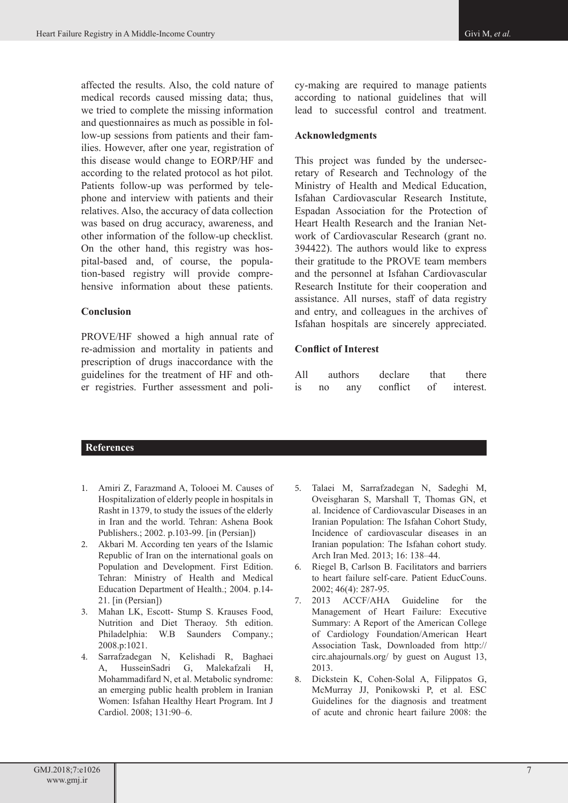affected the results. Also, the cold nature of medical records caused missing data; thus, we tried to complete the missing information and questionnaires as much as possible in follow-up sessions from patients and their families. However, after one year, registration of this disease would change to EORP/HF and according to the related protocol as hot pilot. Patients follow-up was performed by telephone and interview with patients and their relatives. Also, the accuracy of data collection was based on drug accuracy, awareness, and other information of the follow-up checklist. On the other hand, this registry was hospital-based and, of course, the population-based registry will provide comprehensive information about these patients.

# **Conclusion**

PROVE/HF showed a high annual rate of re-admission and mortality in patients and prescription of drugs inaccordance with the guidelines for the treatment of HF and other registries. Further assessment and policy-making are required to manage patients according to national guidelines that will lead to successful control and treatment.

### **Acknowledgments**

This project was funded by the undersecretary of Research and Technology of the Ministry of Health and Medical Education, Isfahan Cardiovascular Research Institute, Espadan Association for the Protection of Heart Health Research and the Iranian Network of Cardiovascular Research (grant no. 394422). The authors would like to express their gratitude to the PROVE team members and the personnel at Isfahan Cardiovascular Research Institute for their cooperation and assistance. All nurses, staff of data registry and entry, and colleagues in the archives of Isfahan hospitals are sincerely appreciated.

# **Conflict of Interest**

| All       |    | <i>authors</i> | declare  | that | there     |
|-----------|----|----------------|----------|------|-----------|
| <b>1S</b> | no | any            | conflict | of   | interest. |

# **References**

- 1. Amiri Z, Farazmand A, Tolooei M. Causes of Hospitalization of elderly people in hospitals in Rasht in 1379, to study the issues of the elderly in Iran and the world. Tehran: Ashena Book Publishers.; 2002. p.103-99. [in (Persian])
- 2. Akbari M. According ten years of the Islamic Republic of Iran on the international goals on Population and Development. First Edition. Tehran: Ministry of Health and Medical Education Department of Health.; 2004. p.14- 21. [in (Persian])
- 3. Mahan LK, Escott- Stump S. Krauses Food, Nutrition and Diet Theraoy. 5th edition. Philadelphia: W.B Saunders Company.; 2008.p:1021.
- 4. Sarrafzadegan N, Kelishadi R, Baghaei A, HusseinSadri G, Malekafzali H, Mohammadifard N, et al. Metabolic syndrome: an emerging public health problem in Iranian Women: Isfahan Healthy Heart Program. Int J Cardiol. 2008; 131:90–6.
- 5. Talaei M, Sarrafzadegan N, Sadeghi M, Oveisgharan S, Marshall T, Thomas GN, et al. Incidence of Cardiovascular Diseases in an Iranian Population: The Isfahan Cohort Study, Incidence of cardiovascular diseases in an Iranian population: The Isfahan cohort study. Arch Iran Med. 2013; 16: 138–44.
- 6. Riegel B, Carlson B. Facilitators and barriers to heart failure self-care. Patient EducCouns. 2002; 46(4): 287-95.
- 7. 2013 ACCF/AHA Guideline for the Management of Heart Failure: Executive Summary: A Report of the American College of Cardiology Foundation/American Heart Association Task, Downloaded from http:// circ.ahajournals.org/ by guest on August 13, 2013.
- 8. Dickstein K, Cohen-Solal A, Filippatos G, McMurray JJ, Ponikowski P, et al. ESC Guidelines for the diagnosis and treatment of acute and chronic heart failure 2008: the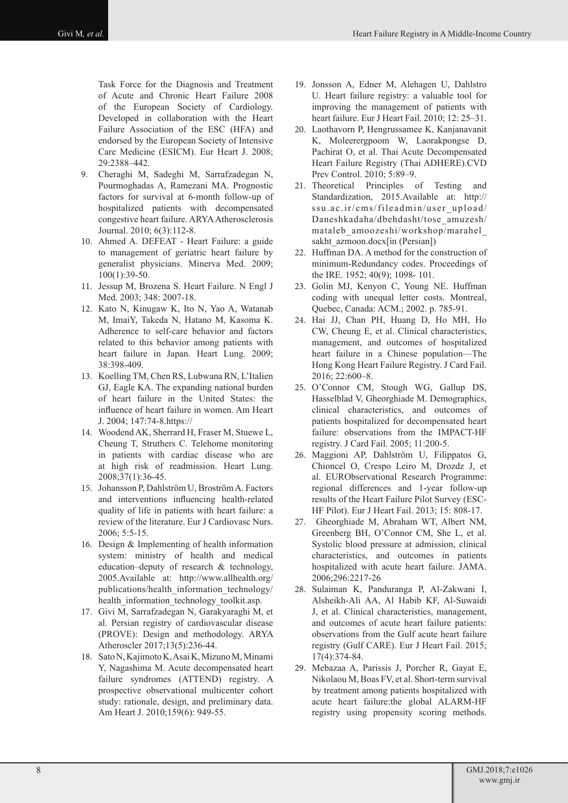Task Force for the Diagnosis and Treatment of Acute and Chronic Heart Failure 2008 of the European Society of Cardiology. Developed in collaboration with the Heart Failure Association of the ESC (HFA) and endorsed by the European Society of Intensive Care Medicine (ESICM). Eur Heart J. 2008; 29:2388–442.

- 9. Cheraghi M, Sadeghi M, Sarrafzadegan N, Pourmoghadas A, Ramezani MA. Prognostic factors for survival at 6-month follow-up of hospitalized patients with decompensated congestive heart failure. ARYA Atherosclerosis Journal. 2010; 6(3):112-8.
- 10. Ahmed A. DEFEAT Heart Failure: a guide to management of geriatric heart failure by generalist physicians. Minerva Med. 2009; 100(1):39-50.
- 11. Jessup M, Brozena S. Heart Failure. N Engl J Med. 2003; 348: 2007-18.
- 12. Kato N, Kinugaw K, Ito N, Yao A, Watanab M, ImaiY, Takeda N, Hatano M, Kasoma K. Adherence to self-care behavior and factors related to this behavior among patients with heart failure in Japan. Heart Lung. 2009; 38:398-409.
- 13. Koelling TM, Chen RS, Lubwana RN, L'Italien GJ, Eagle KA. The expanding national burden of heart failure in the United States: the influence of heart failure in women. Am Heart J. 2004; 147:74-8.https://
- 14. Woodend AK, Sherrard H, Fraser M, Stuewe L, Cheung T, Struthers C. Telehome monitoring in patients with cardiac disease who are at high risk of readmission. Heart Lung. 2008;37(1):36-45.
- 15. Johansson P, Dahlström U, Broström A. Factors and interventions influencing health-related quality of life in patients with heart failure: a review of the literature. Eur J Cardiovasc Nurs. 2006; 5:5-15.
- 16. Design & Implementing of health information system: ministry of health and medical education–deputy of research & technology, 2005.Available at: http://www.allhealth.org/ publications/health\_information\_technology/ health\_information\_technology\_toolkit.asp.
- 17. Givi M, Sarrafzadegan N, Garakyaraghi M, et al. Persian registry of cardiovascular disease (PROVE): Design and methodology. ARYA Atheroscler 2017;13(5):236-44.
- 18. Sato N, Kajimoto K, Asai K, Mizuno M, Minami Y, Nagashima M. Acute decompensated heart failure syndromes (ATTEND) registry. A prospective observational multicenter cohort study: rationale, design, and preliminary data. Am Heart J. 2010;159(6): 949-55.
- 19. Jonsson A, Edner M, Alehagen U, Dahlstro U. Heart failure registry: a valuable tool for improving the management of patients with heart failure. Eur J Heart Fail. 2010; 12: 25–31.
- 20. Laothavorn P, Hengrussamee K, Kanjanavanit K, Moleerergpoom W, Laorakpongse D, Pachirat O, et al. Thai Acute Decompensated Heart Failure Registry (Thai ADHERE).CVD Prev Control. 2010; 5:89–9.
- 21. Theoretical Principles of Testing and Standardization, 2015.Available at: http:// ssu.ac.ir/cms/fileadmin/user\_upload/ Daneshkadaha/dbehdasht/tose\_amuzesh/ mataleb\_amoozeshi/workshop/marahel\_ sakht\_azmoon.docx[in (Persian])
- 22. Huffman DA. A method for the construction of minimum-Redundancy codes. Proceedings of the IRE. 1952; 40(9); 1098- 101.
- 23. Golin MJ, Kenyon C, Young NE. Huffman coding with unequal letter costs. Montreal, Quebec, Canada: ACM.; 2002. p. 785-91.
- 24. Hai JJ, Chan PH, Huang D, Ho MH, Ho CW, Cheung E, et al. Clinical characteristics, management, and outcomes of hospitalized heart failure in a Chinese population—The Hong Kong Heart Failure Registry. J Card Fail. 2016; 22:600–8.
- 25. O'Connor CM, Stough WG, Gallup DS, Hasselblad V, Gheorghiade M. Demographics, clinical characteristics, and outcomes of patients hospitalized for decompensated heart failure: observations from the IMPACT-HF registry. J Card Fail. 2005; 11:200-5.
- 26. Maggioni AP, Dahlström U, Filippatos G, Chioncel O, Crespo Leiro M, Drozdz J, et al. EURObservational Research Programme: regional differences and 1-year follow-up results of the Heart Failure Pilot Survey (ESC-HF Pilot). Eur J Heart Fail. 2013; 15: 808-17.
- 27. Gheorghiade M, Abraham WT, Albert NM, Greenberg BH, O'Connor CM, She L, et al. Systolic blood pressure at admission, clinical characteristics, and outcomes in patients hospitalized with acute heart failure. JAMA. 2006;296:2217-26
- 28. Sulaiman K, Panduranga P, Al-Zakwani I, Alsheikh-Ali AA, Al Habib KF, Al-Suwaidi J, et al. Clinical characteristics, management, and outcomes of acute heart failure patients: observations from the Gulf acute heart failure registry (Gulf CARE). Eur J Heart Fail. 2015; 17(4):374-84.
- 29. Mebazaa A, Parissis J, Porcher R, Gayat E, Nikolaou M, Boas FV, et al. Short-term survival by treatment among patients hospitalized with acute heart failure:the global ALARM-HF registry using propensity scoring methods.